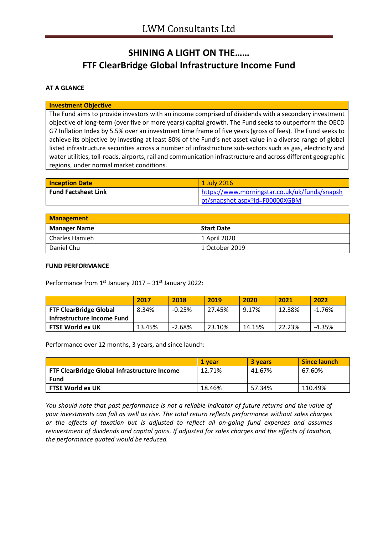# **SHINING A LIGHT ON THE…… FTF ClearBridge Global Infrastructure Income Fund**

### **AT A GLANCE**

#### **Investment Objective**

The Fund aims to provide investors with an income comprised of dividends with a secondary investment objective of long-term (over five or more years) capital growth. The Fund seeks to outperform the OECD G7 Inflation Index by 5.5% over an investment time frame of five years (gross of fees). The Fund seeks to achieve its objective by investing at least 80% of the Fund's net asset value in a diverse range of global listed infrastructure securities across a number of infrastructure sub-sectors such as gas, electricity and water utilities, toll-roads, airports, rail and communication infrastructure and across different geographic regions, under normal market conditions.

| <b>Inception Date</b>      | 1 July 2016                                   |
|----------------------------|-----------------------------------------------|
| <b>Fund Factsheet Link</b> | https://www.morningstar.co.uk/uk/funds/snapsh |
|                            | ot/snapshot.aspx?id=F00000XGBM                |

| Management          |                   |  |
|---------------------|-------------------|--|
| <b>Manager Name</b> | <b>Start Date</b> |  |
| Charles Hamieh      | 1 April 2020      |  |
| Daniel Chu          | 1 October 2019    |  |

#### **FUND PERFORMANCE**

Performance from  $1<sup>st</sup>$  January 2017 – 31 $<sup>st</sup>$  January 2022:</sup>

|                               | 2017   | 2018     | 2019   | 2020   | 2021   | 2022     |
|-------------------------------|--------|----------|--------|--------|--------|----------|
| <b>FTF ClearBridge Global</b> | 8.34%  | $-0.25%$ | 27.45% | 9.17%  | 12.38% | $-1.76%$ |
| Infrastructure Income Fund    |        |          |        |        |        |          |
| <b>FTSE World ex UK</b>       | 13.45% | $-2.68%$ | 23.10% | 14.15% | 22.23% | $-4.35%$ |

Performance over 12 months, 3 years, and since launch:

|                                              | 1 vear | 3 years | <b>Since launch</b> |
|----------------------------------------------|--------|---------|---------------------|
| FTF ClearBridge Global Infrastructure Income | 12.71% | 41.67%  | 67.60%              |
| Fund                                         |        |         |                     |
| <b>FTSE World ex UK</b>                      | 18.46% | 57.34%  | 110.49%             |

*You should note that past performance is not a reliable indicator of future returns and the value of your investments can fall as well as rise. The total return reflects performance without sales charges or the effects of taxation but is adjusted to reflect all on-going fund expenses and assumes reinvestment of dividends and capital gains. If adjusted for sales charges and the effects of taxation, the performance quoted would be reduced.*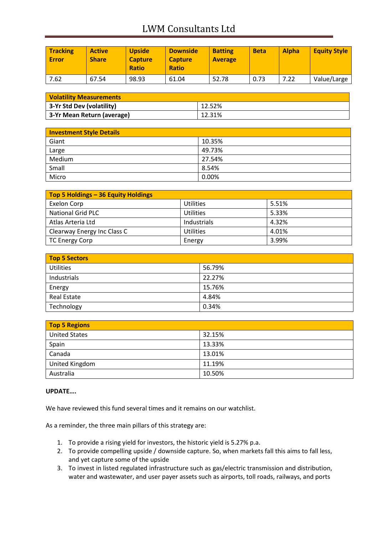# LWM Consultants Ltd

| <b>Tracking</b><br><b>Error</b> | <b>Active</b><br><b>Share</b> | <b>Upside</b><br><b>Capture</b><br><b>Ratio</b> | <b>Downside</b><br><b>Capture</b><br><b>Ratio</b> | <b>Batting</b><br><b>Average</b> | <b>Beta</b> | <b>Alpha</b> | <b>Equity Style</b> |
|---------------------------------|-------------------------------|-------------------------------------------------|---------------------------------------------------|----------------------------------|-------------|--------------|---------------------|
| 7.62                            | 67.54                         | 98.93                                           | 61.04                                             | 52.78                            | 0.73        | 7.22         | Value/Large         |

| <b>Volatility Measurements</b> |        |  |
|--------------------------------|--------|--|
| 3-Yr Std Dev (volatility)      | 12.52% |  |
| 3-Yr Mean Return (average)     | 12.31% |  |

| <b>Investment Style Details</b> |        |  |
|---------------------------------|--------|--|
| Giant                           | 10.35% |  |
| Large                           | 49.73% |  |
| Medium                          | 27.54% |  |
| Small                           | 8.54%  |  |
| Micro                           | 0.00%  |  |

| Top 5 Holdings - 36 Equity Holdings |                  |       |
|-------------------------------------|------------------|-------|
| Exelon Corp                         | <b>Utilities</b> | 5.51% |
| <b>National Grid PLC</b>            | <b>Utilities</b> | 5.33% |
| Atlas Arteria Ltd                   | Industrials      | 4.32% |
| Clearway Energy Inc Class C         | <b>Utilities</b> | 4.01% |
| TC Energy Corp                      | Energy           | 3.99% |

| Top 5 Sectors      |        |
|--------------------|--------|
| <b>Utilities</b>   | 56.79% |
| Industrials        | 22.27% |
| Energy             | 15.76% |
| <b>Real Estate</b> | 4.84%  |
| Technology         | 0.34%  |

| <b>Top 5 Regions</b> |        |
|----------------------|--------|
| <b>United States</b> | 32.15% |
| Spain                | 13.33% |
| Canada               | 13.01% |
| United Kingdom       | 11.19% |
| Australia            | 10.50% |

### **UPDATE….**

We have reviewed this fund several times and it remains on our watchlist.

As a reminder, the three main pillars of this strategy are:

- 1. To provide a rising yield for investors, the historic yield is 5.27% p.a.
- 2. To provide compelling upside / downside capture. So, when markets fall this aims to fall less, and yet capture some of the upside
- 3. To invest in listed regulated infrastructure such as gas/electric transmission and distribution, water and wastewater, and user payer assets such as airports, toll roads, railways, and ports